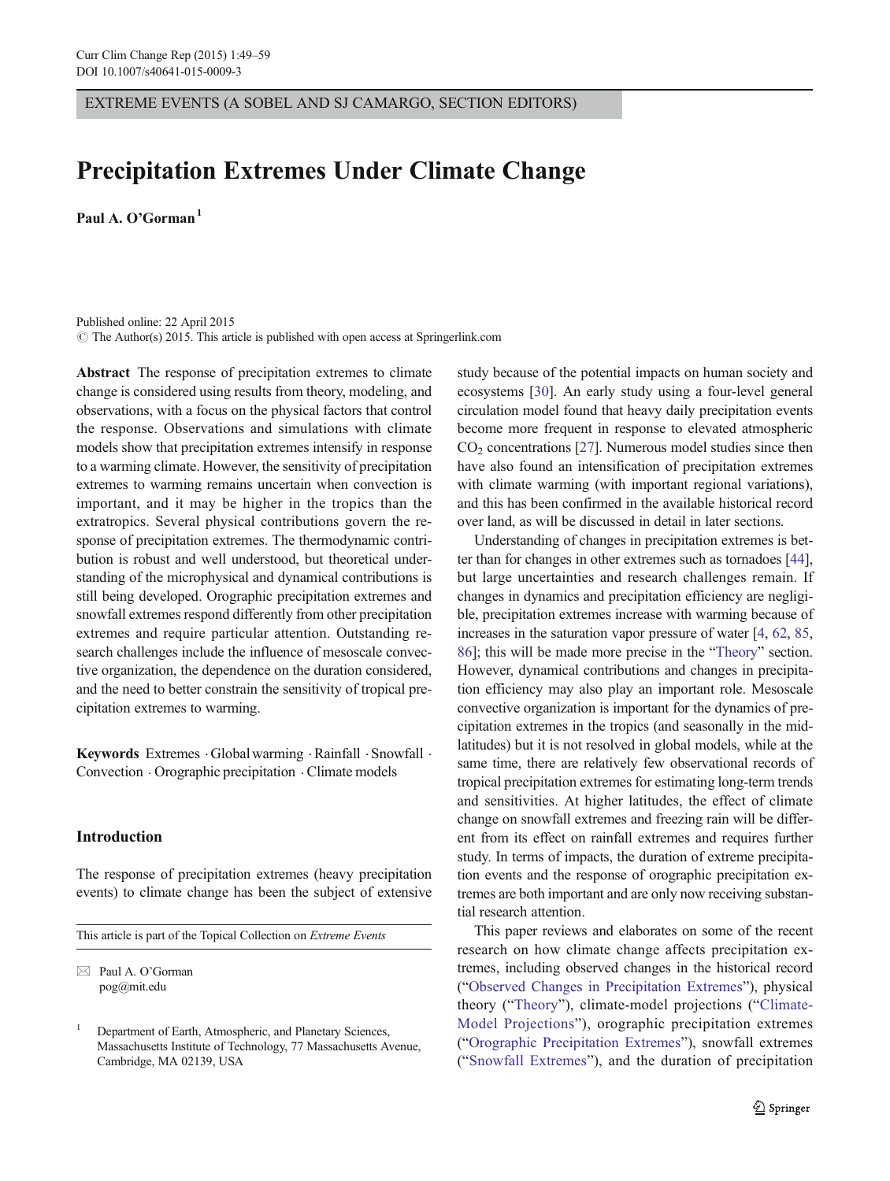EXTREME EVENTS (A SOBEL AND SJ CAMARGO, SECTION EDITORS)

# Precipitation Extremes Under Climate Change

Paul A.  $O^{\prime}$ Gorman<sup>1</sup>

Published online: 22 April 2015  $\circ$  The Author(s) 2015. This article is published with open access at Springerlink.com

Abstract The response of precipitation extremes to climate change is considered using results from theory, modeling, and observations, with a focus on the physical factors that control the response. Observations and simulations with climate models show that precipitation extremes intensify in response to a warming climate. However, the sensitivity of precipitation extremes to warming remains uncertain when convection is important, and it may be higher in the tropics than the extratropics. Several physical contributions govern the response of precipitation extremes. The thermodynamic contribution is robust and well understood, but theoretical understanding of the microphysical and dynamical contributions is still being developed. Orographic precipitation extremes and snowfall extremes respond differently from other precipitation extremes and require particular attention. Outstanding research challenges include the influence of mesoscale convective organization, the dependence on the duration considered, and the need to better constrain the sensitivity of tropical precipitation extremes to warming.

Keywords Extremes · Global warming · Rainfall · Snowfall · Convection . Orographic precipitation . Climate models

## Introduction

The response of precipitation extremes (heavy precipitation events) to climate change has been the subject of extensive

This article is part of the Topical Collection on Extreme Events

 $\boxtimes$  Paul A. O'Gorman pog@mit.edu

study because of the potential impacts on human society and ecosystems [[30](#page-9-0)]. An early study using a four-level general circulation model found that heavy daily precipitation events become more frequent in response to elevated atmospheric  $CO<sub>2</sub>$  concentrations [\[27\]](#page-8-0). Numerous model studies since then have also found an intensification of precipitation extremes with climate warming (with important regional variations), and this has been confirmed in the available historical record over land, as will be discussed in detail in later sections.

Understanding of changes in precipitation extremes is better than for changes in other extremes such as tornadoes [[44\]](#page-9-0), but large uncertainties and research challenges remain. If changes in dynamics and precipitation efficiency are negligible, precipitation extremes increase with warming because of increases in the saturation vapor pressure of water [\[4,](#page-8-0) [62,](#page-9-0) [85,](#page-10-0) [86\]](#page-10-0); this will be made more precise in the "[Theory](#page-2-0)" section. However, dynamical contributions and changes in precipitation efficiency may also play an important role. Mesoscale convective organization is important for the dynamics of precipitation extremes in the tropics (and seasonally in the midlatitudes) but it is not resolved in global models, while at the same time, there are relatively few observational records of tropical precipitation extremes for estimating long-term trends and sensitivities. At higher latitudes, the effect of climate change on snowfall extremes and freezing rain will be different from its effect on rainfall extremes and requires further study. In terms of impacts, the duration of extreme precipitation events and the response of orographic precipitation extremes are both important and are only now receiving substantial research attention.

This paper reviews and elaborates on some of the recent research on how climate change affects precipitation extremes, including observed changes in the historical record ("[Observed Changes in Precipitation Extremes](#page-1-0)"), physical theory ("[Theory](#page-2-0)"), climate-model projections ("[Climate-](#page-3-0)[Model Projections](#page-3-0)"), orographic precipitation extremes ("[Orographic Precipitation Extremes](#page-5-0)"), snowfall extremes ("[Snowfall Extremes](#page-5-0)"), and the duration of precipitation

<sup>1</sup> Department of Earth, Atmospheric, and Planetary Sciences, Massachusetts Institute of Technology, 77 Massachusetts Avenue, Cambridge, MA 02139, USA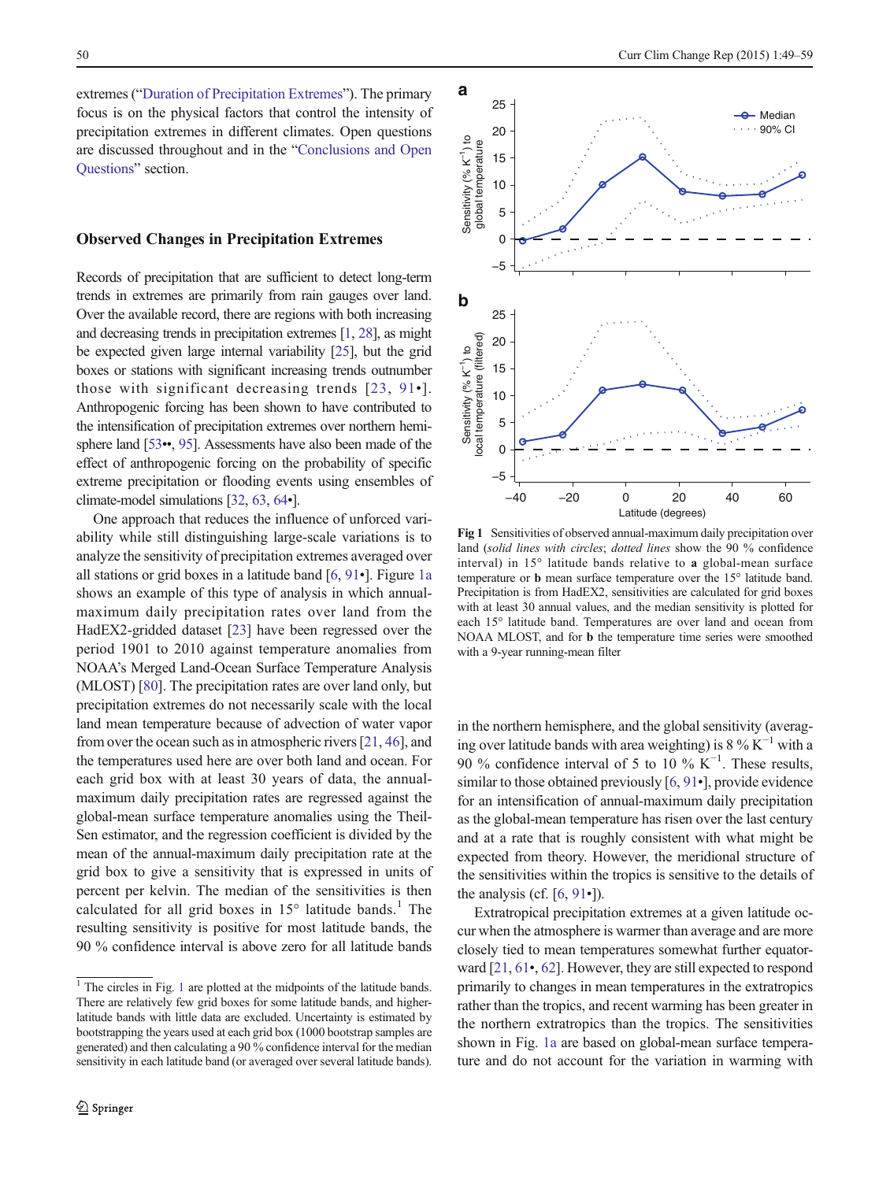<span id="page-1-0"></span>extremes ("[Duration of Precipitation Extremes](#page-6-0)"). The primary focus is on the physical factors that control the intensity of precipitation extremes in different climates. Open questions are discussed throughout and in the "[Conclusions and Open](#page-7-0) [Questions](#page-7-0)" section.

#### Observed Changes in Precipitation Extremes

Records of precipitation that are sufficient to detect long-term trends in extremes are primarily from rain gauges over land. Over the available record, there are regions with both increasing and decreasing trends in precipitation extremes [[1](#page-8-0), [28](#page-9-0)], as might be expected given large internal variability [\[25\]](#page-8-0), but the grid boxes or stations with significant increasing trends outnumber those with significant decreasing trends [[23,](#page-8-0) [91](#page-10-0)•]. Anthropogenic forcing has been shown to have contributed to the intensification of precipitation extremes over northern hemi-sphere land [\[53](#page-9-0)••, [95](#page-10-0)]. Assessments have also been made of the effect of anthropogenic forcing on the probability of specific extreme precipitation or flooding events using ensembles of climate-model simulations [[32,](#page-9-0) [63](#page-9-0), [64](#page-9-0)•].

One approach that reduces the influence of unforced variability while still distinguishing large-scale variations is to analyze the sensitivity of precipitation extremes averaged over all stations or grid boxes in a latitude band [\[6](#page-8-0), [91](#page-10-0)•]. Figure 1a shows an example of this type of analysis in which annualmaximum daily precipitation rates over land from the HadEX2-gridded dataset [\[23](#page-8-0)] have been regressed over the period 1901 to 2010 against temperature anomalies from NOAA's Merged Land-Ocean Surface Temperature Analysis (MLOST) [[80\]](#page-10-0). The precipitation rates are over land only, but precipitation extremes do not necessarily scale with the local land mean temperature because of advection of water vapor from over the ocean such as in atmospheric rivers [[21](#page-8-0), [46\]](#page-9-0), and the temperatures used here are over both land and ocean. For each grid box with at least 30 years of data, the annualmaximum daily precipitation rates are regressed against the global-mean surface temperature anomalies using the Theil-Sen estimator, and the regression coefficient is divided by the mean of the annual-maximum daily precipitation rate at the grid box to give a sensitivity that is expressed in units of percent per kelvin. The median of the sensitivities is then calculated for all grid boxes in  $15^{\circ}$  latitude bands.<sup>1</sup> The resulting sensitivity is positive for most latitude bands, the 90 % confidence interval is above zero for all latitude bands



Fig 1 Sensitivities of observed annual-maximum daily precipitation over land (solid lines with circles; dotted lines show the 90 % confidence interval) in 15° latitude bands relative to a global-mean surface temperature or b mean surface temperature over the 15° latitude band. Precipitation is from HadEX2, sensitivities are calculated for grid boxes with at least 30 annual values, and the median sensitivity is plotted for each 15° latitude band. Temperatures are over land and ocean from NOAA MLOST, and for b the temperature time series were smoothed with a 9-year running-mean filter

in the northern hemisphere, and the global sensitivity (averaging over latitude bands with area weighting) is  $8\%$  K<sup>-1</sup> with a 90 % confidence interval of 5 to 10 %  $K^{-1}$ . These results, similar to those obtained previously [\[6](#page-8-0), [91](#page-10-0)•], provide evidence for an intensification of annual-maximum daily precipitation as the global-mean temperature has risen over the last century and at a rate that is roughly consistent with what might be expected from theory. However, the meridional structure of the sensitivities within the tropics is sensitive to the details of the analysis (cf.  $[6, 91 \bullet]$  $[6, 91 \bullet]$  $[6, 91 \bullet]$  $[6, 91 \bullet]$ ).

Extratropical precipitation extremes at a given latitude occur when the atmosphere is warmer than average and are more closely tied to mean temperatures somewhat further equatorward [[21](#page-8-0), [61](#page-9-0)•, [62](#page-9-0)]. However, they are still expected to respond primarily to changes in mean temperatures in the extratropics rather than the tropics, and recent warming has been greater in the northern extratropics than the tropics. The sensitivities shown in Fig. 1a are based on global-mean surface tempera-

 $\frac{1}{1}$  The circles in Fig. 1 are plotted at the midpoints of the latitude bands. There are relatively few grid boxes for some latitude bands, and higherlatitude bands with little data are excluded. Uncertainty is estimated by bootstrapping the years used at each grid box (1000 bootstrap samples are generated) and then calculating a 90 % confidence interval for the median sensitivity in each latitude band (or averaged over several latitude bands).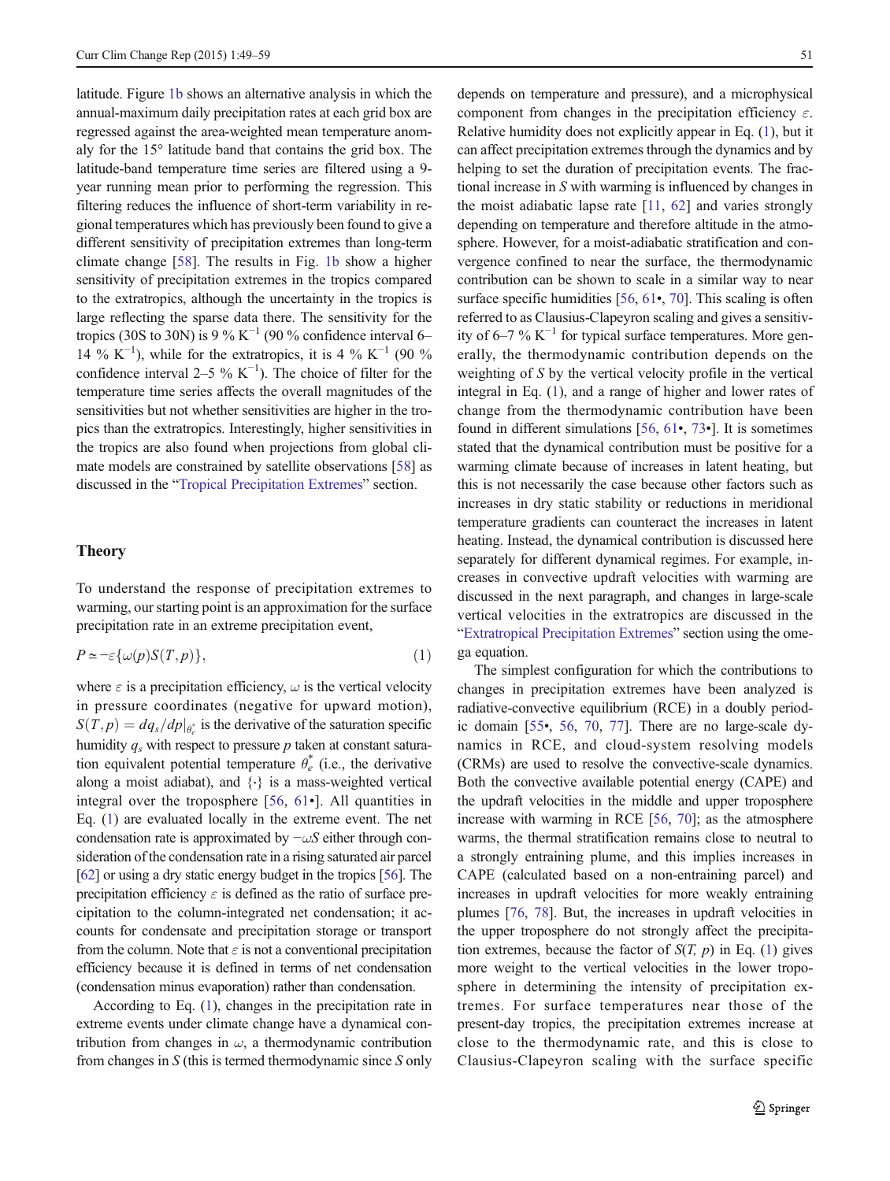<span id="page-2-0"></span>latitude. Figure [1b](#page-1-0) shows an alternative analysis in which the annual-maximum daily precipitation rates at each grid box are regressed against the area-weighted mean temperature anomaly for the 15° latitude band that contains the grid box. The latitude-band temperature time series are filtered using a 9 year running mean prior to performing the regression. This filtering reduces the influence of short-term variability in regional temperatures which has previously been found to give a different sensitivity of precipitation extremes than long-term climate change [[58\]](#page-9-0). The results in Fig. [1b](#page-1-0) show a higher sensitivity of precipitation extremes in the tropics compared to the extratropics, although the uncertainty in the tropics is large reflecting the sparse data there. The sensitivity for the tropics (30S to 30N) is 9 % K<sup>-1</sup> (90 % confidence interval 6– 14 % K<sup>-1</sup>), while for the extratropics, it is 4 % K<sup>-1</sup> (90 % confidence interval 2–5 %  $K^{-1}$ ). The choice of filter for the temperature time series affects the overall magnitudes of the sensitivities but not whether sensitivities are higher in the tropics than the extratropics. Interestingly, higher sensitivities in the tropics are also found when projections from global climate models are constrained by satellite observations [\[58](#page-9-0)] as discussed in the "[Tropical Precipitation Extremes](#page-4-0)" section.

## Theory

To understand the response of precipitation extremes to warming, our starting point is an approximation for the surface precipitation rate in an extreme precipitation event,

$$
P \simeq -\varepsilon \{\omega(p)S(T, p)\},\tag{1}
$$

where  $\varepsilon$  is a precipitation efficiency,  $\omega$  is the vertical velocity in pressure coordinates (negative for upward motion),  $S(T, p) = dq_s/dp|_{\theta_e^*}$  is the derivative of the saturation specific<br>humidity a with general to general policy of constant setup. humidity  $q_s$  with respect to pressure p taken at constant saturation equivalent potential temperature  $\theta_e^*$  (i.e., the derivative along a moist adiabat), and {⋅} is a mass-weighted vertical integral over the troposphere [[56](#page-9-0), [61](#page-9-0)•]. All quantities in Eq. (1) are evaluated locally in the extreme event. The net condensation rate is approximated by  $-\omega S$  either through consideration of the condensation rate in a rising saturated air parcel [\[62\]](#page-9-0) or using a dry static energy budget in the tropics [[56](#page-9-0)]. The precipitation efficiency  $\varepsilon$  is defined as the ratio of surface precipitation to the column-integrated net condensation; it accounts for condensate and precipitation storage or transport from the column. Note that  $\varepsilon$  is not a conventional precipitation efficiency because it is defined in terms of net condensation (condensation minus evaporation) rather than condensation.

According to Eq. (1), changes in the precipitation rate in extreme events under climate change have a dynamical contribution from changes in  $\omega$ , a thermodynamic contribution from changes in  $S$  (this is termed thermodynamic since  $S$  only depends on temperature and pressure), and a microphysical component from changes in the precipitation efficiency  $\varepsilon$ . Relative humidity does not explicitly appear in Eq. (1), but it can affect precipitation extremes through the dynamics and by helping to set the duration of precipitation events. The fractional increase in S with warming is influenced by changes in the moist adiabatic lapse rate [\[11,](#page-8-0) [62](#page-9-0)] and varies strongly depending on temperature and therefore altitude in the atmosphere. However, for a moist-adiabatic stratification and convergence confined to near the surface, the thermodynamic contribution can be shown to scale in a similar way to near surface specific humidities [\[56,](#page-9-0) [61](#page-9-0)•, [70\]](#page-10-0). This scaling is often referred to as Clausius-Clapeyron scaling and gives a sensitivity of 6–7 % K<sup> $-1$ </sup> for typical surface temperatures. More generally, the thermodynamic contribution depends on the weighting of S by the vertical velocity profile in the vertical integral in Eq. (1), and a range of higher and lower rates of change from the thermodynamic contribution have been found in different simulations [\[56,](#page-9-0) [61](#page-9-0)•, [73](#page-10-0)•]. It is sometimes stated that the dynamical contribution must be positive for a warming climate because of increases in latent heating, but this is not necessarily the case because other factors such as increases in dry static stability or reductions in meridional temperature gradients can counteract the increases in latent heating. Instead, the dynamical contribution is discussed here separately for different dynamical regimes. For example, increases in convective updraft velocities with warming are discussed in the next paragraph, and changes in large-scale vertical velocities in the extratropics are discussed in the "[Extratropical Precipitation Extremes](#page-3-0)" section using the omega equation.

The simplest configuration for which the contributions to changes in precipitation extremes have been analyzed is radiative-convective equilibrium (RCE) in a doubly periodic domain [\[55](#page-9-0)•, [56](#page-9-0), [70,](#page-10-0) [77\]](#page-10-0). There are no large-scale dynamics in RCE, and cloud-system resolving models (CRMs) are used to resolve the convective-scale dynamics. Both the convective available potential energy (CAPE) and the updraft velocities in the middle and upper troposphere increase with warming in RCE [\[56](#page-9-0), [70](#page-10-0)]; as the atmosphere warms, the thermal stratification remains close to neutral to a strongly entraining plume, and this implies increases in CAPE (calculated based on a non-entraining parcel) and increases in updraft velocities for more weakly entraining plumes [\[76](#page-10-0), [78](#page-10-0)]. But, the increases in updraft velocities in the upper troposphere do not strongly affect the precipitation extremes, because the factor of  $S(T, p)$  in Eq. (1) gives more weight to the vertical velocities in the lower troposphere in determining the intensity of precipitation extremes. For surface temperatures near those of the present-day tropics, the precipitation extremes increase at close to the thermodynamic rate, and this is close to Clausius-Clapeyron scaling with the surface specific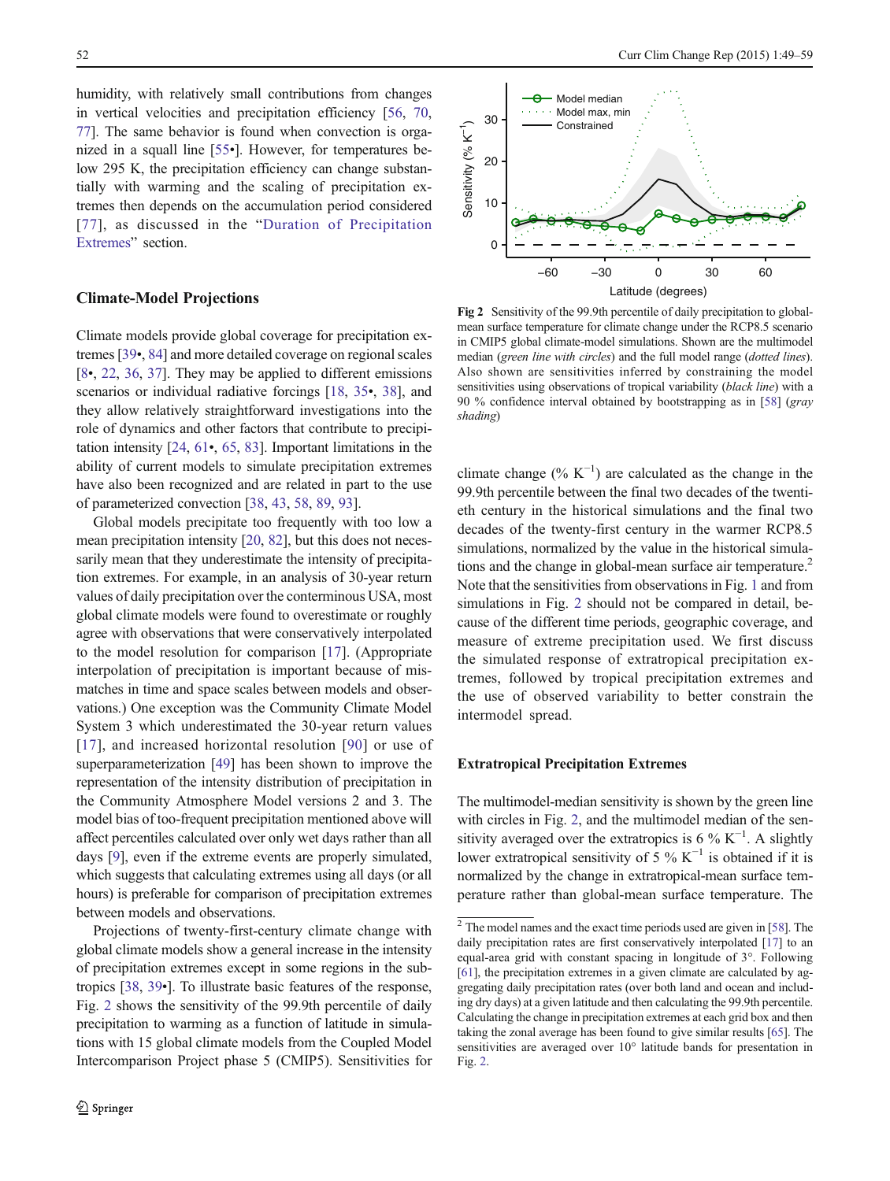<span id="page-3-0"></span>humidity, with relatively small contributions from changes in vertical velocities and precipitation efficiency [\[56](#page-9-0), [70,](#page-10-0) [77\]](#page-10-0). The same behavior is found when convection is organized in a squall line [[55](#page-9-0)•]. However, for temperatures below 295 K, the precipitation efficiency can change substantially with warming and the scaling of precipitation extremes then depends on the accumulation period considered [[77](#page-10-0)], as discussed in the "[Duration of Precipitation](#page-6-0) [Extremes](#page-6-0)" section.

## Climate-Model Projections

Climate models provide global coverage for precipitation extremes [[39](#page-9-0)•, [84\]](#page-10-0) and more detailed coverage on regional scales [\[8](#page-8-0)•, [22,](#page-8-0) [36](#page-9-0), [37](#page-9-0)]. They may be applied to different emissions scenarios or individual radiative forcings [[18,](#page-8-0) [35](#page-9-0)•, [38\]](#page-9-0), and they allow relatively straightforward investigations into the role of dynamics and other factors that contribute to precipitation intensity [\[24,](#page-8-0) [61](#page-9-0)•, [65](#page-9-0), [83](#page-10-0)]. Important limitations in the ability of current models to simulate precipitation extremes have also been recognized and are related in part to the use of parameterized convection [\[38,](#page-9-0) [43,](#page-9-0) [58,](#page-9-0) [89,](#page-10-0) [93](#page-10-0)].

Global models precipitate too frequently with too low a mean precipitation intensity [[20,](#page-8-0) [82](#page-10-0)], but this does not necessarily mean that they underestimate the intensity of precipitation extremes. For example, in an analysis of 30-year return values of daily precipitation over the conterminous USA, most global climate models were found to overestimate or roughly agree with observations that were conservatively interpolated to the model resolution for comparison [[17\]](#page-8-0). (Appropriate interpolation of precipitation is important because of mismatches in time and space scales between models and observations.) One exception was the Community Climate Model System 3 which underestimated the 30-year return values [\[17\]](#page-8-0), and increased horizontal resolution [\[90\]](#page-10-0) or use of superparameterization [\[49](#page-9-0)] has been shown to improve the representation of the intensity distribution of precipitation in the Community Atmosphere Model versions 2 and 3. The model bias of too-frequent precipitation mentioned above will affect percentiles calculated over only wet days rather than all days [\[9](#page-8-0)], even if the extreme events are properly simulated, which suggests that calculating extremes using all days (or all hours) is preferable for comparison of precipitation extremes between models and observations.

Projections of twenty-first-century climate change with global climate models show a general increase in the intensity of precipitation extremes except in some regions in the subtropics [\[38](#page-9-0), [39](#page-9-0)•]. To illustrate basic features of the response, Fig. 2 shows the sensitivity of the 99.9th percentile of daily precipitation to warming as a function of latitude in simulations with 15 global climate models from the Coupled Model Intercomparison Project phase 5 (CMIP5). Sensitivities for



Fig 2 Sensitivity of the 99.9th percentile of daily precipitation to globalmean surface temperature for climate change under the RCP8.5 scenario in CMIP5 global climate-model simulations. Shown are the multimodel median (green line with circles) and the full model range (dotted lines). Also shown are sensitivities inferred by constraining the model sensitivities using observations of tropical variability (black line) with a 90 % confidence interval obtained by bootstrapping as in [[58](#page-9-0)] (gray shading)

climate change  $(\% K^{-1})$  are calculated as the change in the 99.9th percentile between the final two decades of the twentieth century in the historical simulations and the final two decades of the twenty-first century in the warmer RCP8.5 simulations, normalized by the value in the historical simulations and the change in global-mean surface air temperature.<sup>2</sup> Note that the sensitivities from observations in Fig. [1](#page-1-0) and from simulations in Fig. 2 should not be compared in detail, because of the different time periods, geographic coverage, and measure of extreme precipitation used. We first discuss the simulated response of extratropical precipitation extremes, followed by tropical precipitation extremes and the use of observed variability to better constrain the intermodel spread.

## Extratropical Precipitation Extremes

The multimodel-median sensitivity is shown by the green line with circles in Fig. 2, and the multimodel median of the sensitivity averaged over the extratropics is 6 %  $K^{-1}$ . A slightly lower extratropical sensitivity of 5 % K<sup> $-1$ </sup> is obtained if it is normalized by the change in extratropical-mean surface temperature rather than global-mean surface temperature. The

 $\frac{2}{3}$  The model names and the exact time periods used are given in [[58\]](#page-9-0). The daily precipitation rates are first conservatively interpolated [[17](#page-8-0)] to an equal-area grid with constant spacing in longitude of 3°. Following [[61](#page-9-0)], the precipitation extremes in a given climate are calculated by aggregating daily precipitation rates (over both land and ocean and including dry days) at a given latitude and then calculating the 99.9th percentile. Calculating the change in precipitation extremes at each grid box and then taking the zonal average has been found to give similar results [\[65\]](#page-9-0). The sensitivities are averaged over 10° latitude bands for presentation in Fig. 2.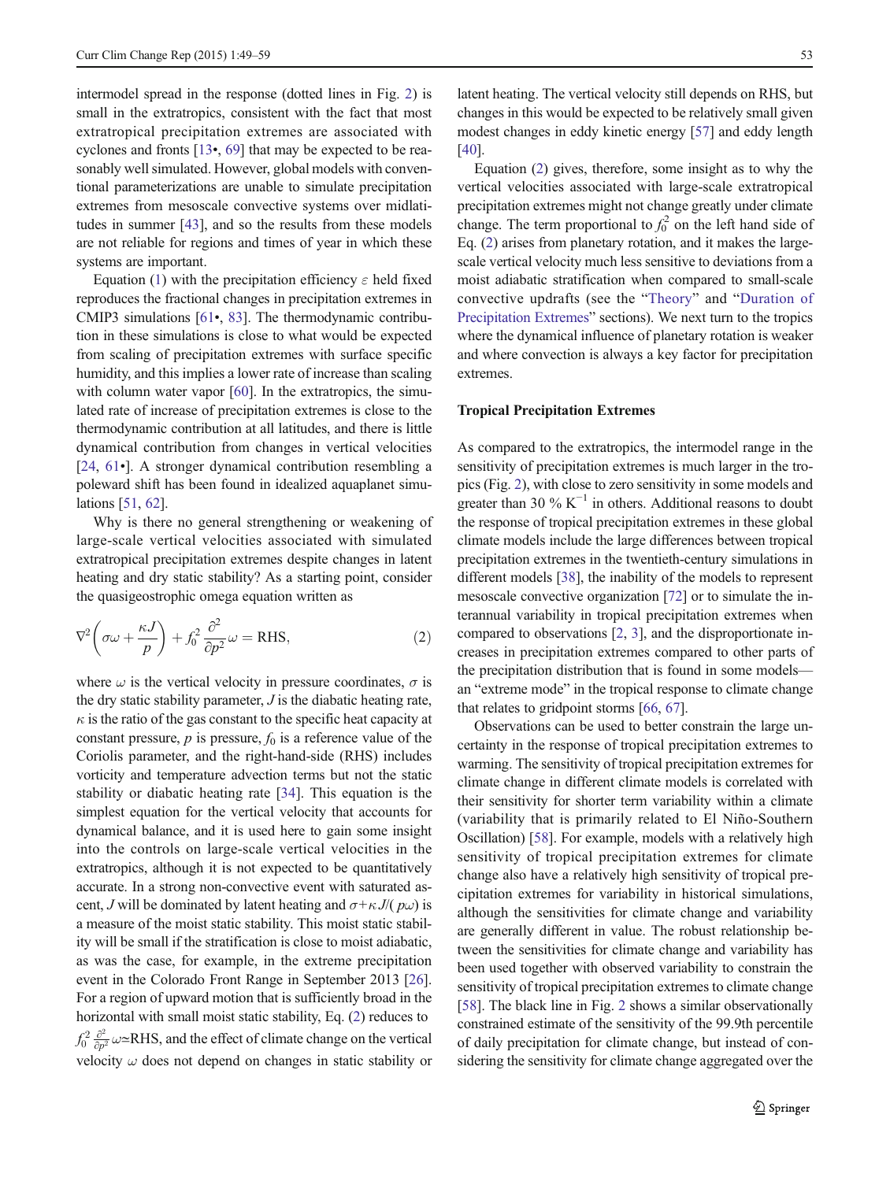<span id="page-4-0"></span>intermodel spread in the response (dotted lines in Fig. [2](#page-3-0)) is small in the extratropics, consistent with the fact that most extratropical precipitation extremes are associated with cyclones and fronts [[13](#page-8-0)•, [69\]](#page-10-0) that may be expected to be reasonably well simulated. However, global models with conventional parameterizations are unable to simulate precipitation extremes from mesoscale convective systems over midlatitudes in summer [[43](#page-9-0)], and so the results from these models are not reliable for regions and times of year in which these systems are important.

Equation [\(1](#page-2-0)) with the precipitation efficiency  $\varepsilon$  held fixed reproduces the fractional changes in precipitation extremes in CMIP3 simulations [[61](#page-9-0)•, [83](#page-10-0)]. The thermodynamic contribution in these simulations is close to what would be expected from scaling of precipitation extremes with surface specific humidity, and this implies a lower rate of increase than scaling with column water vapor [[60](#page-9-0)]. In the extratropics, the simulated rate of increase of precipitation extremes is close to the thermodynamic contribution at all latitudes, and there is little dynamical contribution from changes in vertical velocities [\[24](#page-8-0), [61](#page-9-0)•]. A stronger dynamical contribution resembling a poleward shift has been found in idealized aquaplanet simulations [\[51](#page-9-0), [62](#page-9-0)].

Why is there no general strengthening or weakening of large-scale vertical velocities associated with simulated extratropical precipitation extremes despite changes in latent heating and dry static stability? As a starting point, consider the quasigeostrophic omega equation written as

$$
\nabla^2 \left( \sigma \omega + \frac{\kappa J}{p} \right) + f_0^2 \frac{\partial^2}{\partial p^2} \omega = \text{RHS},\tag{2}
$$

where  $\omega$  is the vertical velocity in pressure coordinates,  $\sigma$  is the dry static stability parameter,  $J$  is the diabatic heating rate,  $\kappa$  is the ratio of the gas constant to the specific heat capacity at constant pressure,  $p$  is pressure,  $f_0$  is a reference value of the Coriolis parameter, and the right-hand-side (RHS) includes vorticity and temperature advection terms but not the static stability or diabatic heating rate [\[34](#page-9-0)]. This equation is the simplest equation for the vertical velocity that accounts for dynamical balance, and it is used here to gain some insight into the controls on large-scale vertical velocities in the extratropics, although it is not expected to be quantitatively accurate. In a strong non-convective event with saturated ascent, J will be dominated by latent heating and  $\sigma + \kappa J/(\rho \omega)$  is a measure of the moist static stability. This moist static stability will be small if the stratification is close to moist adiabatic, as was the case, for example, in the extreme precipitation event in the Colorado Front Range in September 2013 [[26\]](#page-8-0). For a region of upward motion that is sufficiently broad in the horizontal with small moist static stability, Eq. (2) reduces to  $f_0^2 \frac{\partial^2}{\partial p^2} \omega \approx$ RHS, and the effect of climate change on the vertical velocity  $\omega$  does not depend on changes in static stability or latent heating. The vertical velocity still depends on RHS, but changes in this would be expected to be relatively small given modest changes in eddy kinetic energy [\[57\]](#page-9-0) and eddy length [\[40](#page-9-0)].

Equation (2) gives, therefore, some insight as to why the vertical velocities associated with large-scale extratropical precipitation extremes might not change greatly under climate change. The term proportional to  $f_0^2$  on the left hand side of Eq. (2) arises from planetary rotation, and it makes the largescale vertical velocity much less sensitive to deviations from a moist adiabatic stratification when compared to small-scale convective updrafts (see the "[Theory](#page-2-0)" and "[Duration of](#page-6-0) [Precipitation Extremes](#page-6-0)" sections). We next turn to the tropics where the dynamical influence of planetary rotation is weaker and where convection is always a key factor for precipitation extremes.

#### Tropical Precipitation Extremes

As compared to the extratropics, the intermodel range in the sensitivity of precipitation extremes is much larger in the tropics (Fig. [2](#page-3-0)), with close to zero sensitivity in some models and greater than 30 %  $K^{-1}$  in others. Additional reasons to doubt the response of tropical precipitation extremes in these global climate models include the large differences between tropical precipitation extremes in the twentieth-century simulations in different models [[38](#page-9-0)], the inability of the models to represent mesoscale convective organization [\[72\]](#page-10-0) or to simulate the interannual variability in tropical precipitation extremes when compared to observations [\[2](#page-8-0), [3](#page-8-0)], and the disproportionate increases in precipitation extremes compared to other parts of the precipitation distribution that is found in some models an "extreme mode" in the tropical response to climate change that relates to gridpoint storms [[66](#page-10-0), [67](#page-10-0)].

Observations can be used to better constrain the large uncertainty in the response of tropical precipitation extremes to warming. The sensitivity of tropical precipitation extremes for climate change in different climate models is correlated with their sensitivity for shorter term variability within a climate (variability that is primarily related to El Niño-Southern Oscillation) [\[58](#page-9-0)]. For example, models with a relatively high sensitivity of tropical precipitation extremes for climate change also have a relatively high sensitivity of tropical precipitation extremes for variability in historical simulations, although the sensitivities for climate change and variability are generally different in value. The robust relationship between the sensitivities for climate change and variability has been used together with observed variability to constrain the sensitivity of tropical precipitation extremes to climate change [\[58](#page-9-0)]. The black line in Fig. [2](#page-3-0) shows a similar observationally constrained estimate of the sensitivity of the 99.9th percentile of daily precipitation for climate change, but instead of considering the sensitivity for climate change aggregated over the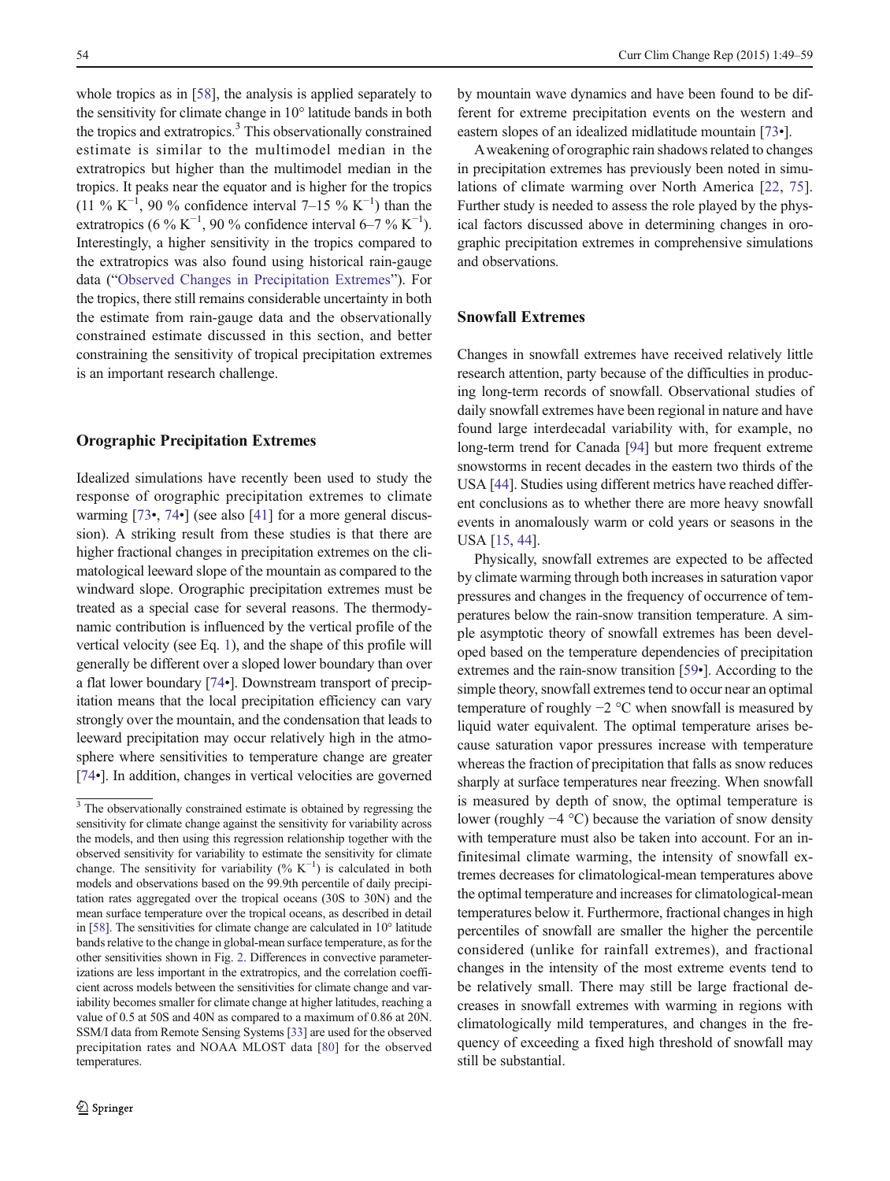<span id="page-5-0"></span>whole tropics as in [[58](#page-9-0)], the analysis is applied separately to the sensitivity for climate change in 10° latitude bands in both the tropics and extratropics.<sup>3</sup> This observationally constrained estimate is similar to the multimodel median in the extratropics but higher than the multimodel median in the tropics. It peaks near the equator and is higher for the tropics (11 % K<sup>-1</sup>, 90 % confidence interval 7–15 % K<sup>-1</sup>) than the extratropics (6 % K<sup>-1</sup>, 90 % confidence interval 6–7 % K<sup>-1</sup>). Interestingly, a higher sensitivity in the tropics compared to the extratropics was also found using historical rain-gauge data ("[Observed Changes in Precipitation Extremes](#page-1-0)"). For the tropics, there still remains considerable uncertainty in both the estimate from rain-gauge data and the observationally constrained estimate discussed in this section, and better constraining the sensitivity of tropical precipitation extremes is an important research challenge.

## Orographic Precipitation Extremes

Idealized simulations have recently been used to study the response of orographic precipitation extremes to climate warming [[73](#page-10-0)•, [74](#page-10-0)•] (see also [[41\]](#page-9-0) for a more general discussion). A striking result from these studies is that there are higher fractional changes in precipitation extremes on the climatological leeward slope of the mountain as compared to the windward slope. Orographic precipitation extremes must be treated as a special case for several reasons. The thermodynamic contribution is influenced by the vertical profile of the vertical velocity (see Eq. [1\)](#page-2-0), and the shape of this profile will generally be different over a sloped lower boundary than over a flat lower boundary [[74](#page-10-0)•]. Downstream transport of precipitation means that the local precipitation efficiency can vary strongly over the mountain, and the condensation that leads to leeward precipitation may occur relatively high in the atmosphere where sensitivities to temperature change are greater [\[74](#page-10-0)•]. In addition, changes in vertical velocities are governed

by mountain wave dynamics and have been found to be different for extreme precipitation events on the western and eastern slopes of an idealized midlatitude mountain [[73](#page-10-0)•].

Aweakening of orographic rain shadows related to changes in precipitation extremes has previously been noted in simulations of climate warming over North America [[22,](#page-8-0) [75](#page-10-0)]. Further study is needed to assess the role played by the physical factors discussed above in determining changes in orographic precipitation extremes in comprehensive simulations and observations.

## Snowfall Extremes

Changes in snowfall extremes have received relatively little research attention, party because of the difficulties in producing long-term records of snowfall. Observational studies of daily snowfall extremes have been regional in nature and have found large interdecadal variability with, for example, no long-term trend for Canada [[94](#page-10-0)] but more frequent extreme snowstorms in recent decades in the eastern two thirds of the USA [\[44\]](#page-9-0). Studies using different metrics have reached different conclusions as to whether there are more heavy snowfall events in anomalously warm or cold years or seasons in the USA [[15](#page-8-0), [44](#page-9-0)].

Physically, snowfall extremes are expected to be affected by climate warming through both increases in saturation vapor pressures and changes in the frequency of occurrence of temperatures below the rain-snow transition temperature. A simple asymptotic theory of snowfall extremes has been developed based on the temperature dependencies of precipitation extremes and the rain-snow transition [[59](#page-9-0)•]. According to the simple theory, snowfall extremes tend to occur near an optimal temperature of roughly −2 °C when snowfall is measured by liquid water equivalent. The optimal temperature arises because saturation vapor pressures increase with temperature whereas the fraction of precipitation that falls as snow reduces sharply at surface temperatures near freezing. When snowfall is measured by depth of snow, the optimal temperature is lower (roughly −4 °C) because the variation of snow density with temperature must also be taken into account. For an infinitesimal climate warming, the intensity of snowfall extremes decreases for climatological-mean temperatures above the optimal temperature and increases for climatological-mean temperatures below it. Furthermore, fractional changes in high percentiles of snowfall are smaller the higher the percentile considered (unlike for rainfall extremes), and fractional changes in the intensity of the most extreme events tend to be relatively small. There may still be large fractional decreases in snowfall extremes with warming in regions with climatologically mild temperatures, and changes in the frequency of exceeding a fixed high threshold of snowfall may still be substantial.

<sup>&</sup>lt;sup>3</sup> The observationally constrained estimate is obtained by regressing the sensitivity for climate change against the sensitivity for variability across the models, and then using this regression relationship together with the observed sensitivity for variability to estimate the sensitivity for climate change. The sensitivity for variability (%  $K^{-1}$ ) is calculated in both models and observations based on the 99.9th percentile of daily precipitation rates aggregated over the tropical oceans (30S to 30N) and the mean surface temperature over the tropical oceans, as described in detail in [\[58](#page-9-0)]. The sensitivities for climate change are calculated in 10° latitude bands relative to the change in global-mean surface temperature, as for the other sensitivities shown in Fig. [2.](#page-3-0) Differences in convective parameterizations are less important in the extratropics, and the correlation coefficient across models between the sensitivities for climate change and variability becomes smaller for climate change at higher latitudes, reaching a value of 0.5 at 50S and 40N as compared to a maximum of 0.86 at 20N. SSM/I data from Remote Sensing Systems [[33\]](#page-9-0) are used for the observed precipitation rates and NOAA MLOST data [\[80](#page-10-0)] for the observed temperatures.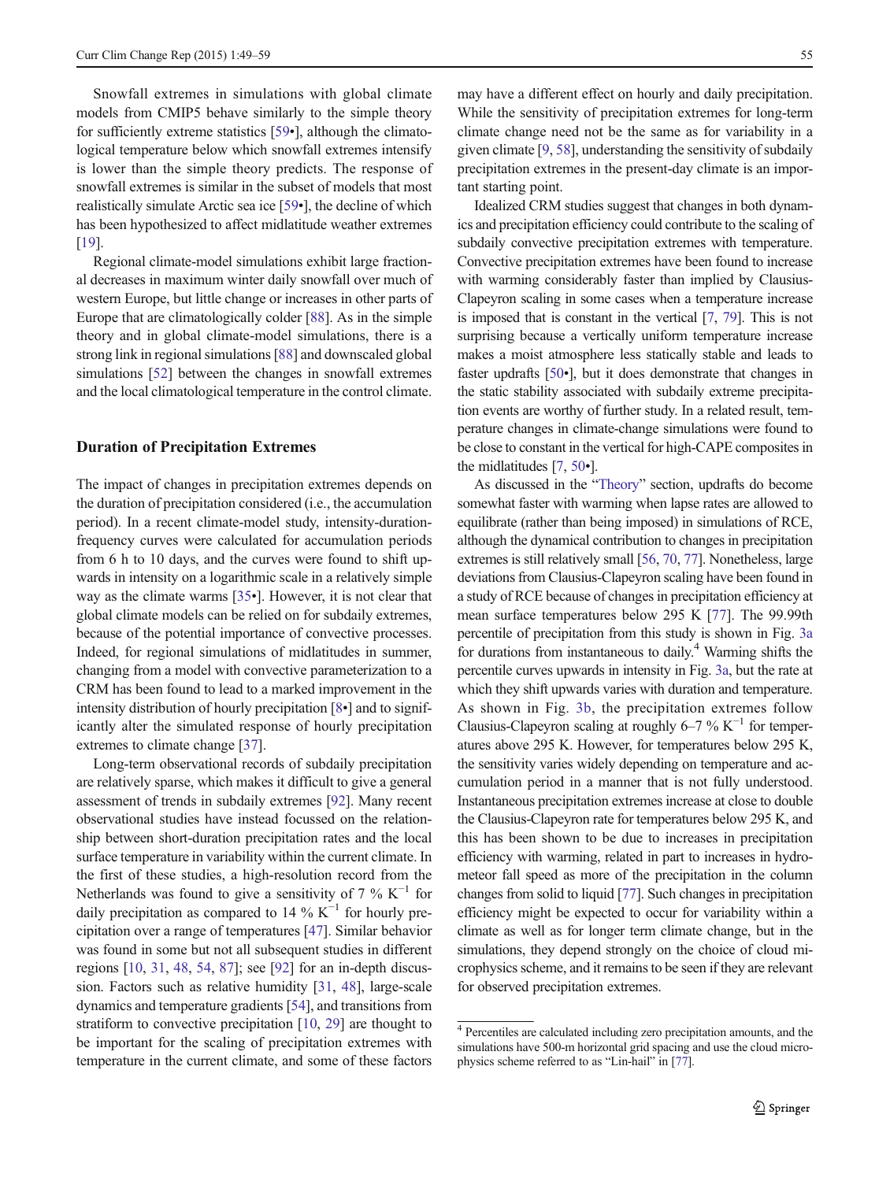<span id="page-6-0"></span>Snowfall extremes in simulations with global climate models from CMIP5 behave similarly to the simple theory for sufficiently extreme statistics [\[59](#page-9-0)•], although the climatological temperature below which snowfall extremes intensify is lower than the simple theory predicts. The response of snowfall extremes is similar in the subset of models that most realistically simulate Arctic sea ice [\[59](#page-9-0)•], the decline of which has been hypothesized to affect midlatitude weather extremes [\[19\]](#page-8-0).

Regional climate-model simulations exhibit large fractional decreases in maximum winter daily snowfall over much of western Europe, but little change or increases in other parts of Europe that are climatologically colder [[88](#page-10-0)]. As in the simple theory and in global climate-model simulations, there is a strong link in regional simulations [\[88](#page-10-0)] and downscaled global simulations [[52](#page-9-0)] between the changes in snowfall extremes and the local climatological temperature in the control climate.

#### Duration of Precipitation Extremes

The impact of changes in precipitation extremes depends on the duration of precipitation considered (i.e., the accumulation period). In a recent climate-model study, intensity-durationfrequency curves were calculated for accumulation periods from 6 h to 10 days, and the curves were found to shift upwards in intensity on a logarithmic scale in a relatively simple way as the climate warms [[35](#page-9-0)•]. However, it is not clear that global climate models can be relied on for subdaily extremes, because of the potential importance of convective processes. Indeed, for regional simulations of midlatitudes in summer, changing from a model with convective parameterization to a CRM has been found to lead to a marked improvement in the intensity distribution of hourly precipitation [[8](#page-8-0)•] and to significantly alter the simulated response of hourly precipitation extremes to climate change [[37\]](#page-9-0).

Long-term observational records of subdaily precipitation are relatively sparse, which makes it difficult to give a general assessment of trends in subdaily extremes [[92](#page-10-0)]. Many recent observational studies have instead focussed on the relationship between short-duration precipitation rates and the local surface temperature in variability within the current climate. In the first of these studies, a high-resolution record from the Netherlands was found to give a sensitivity of 7 %  $K^{-1}$  for daily precipitation as compared to 14 %  $K^{-1}$  for hourly precipitation over a range of temperatures [\[47](#page-9-0)]. Similar behavior was found in some but not all subsequent studies in different regions [[10](#page-8-0), [31,](#page-9-0) [48](#page-9-0), [54](#page-9-0), [87\]](#page-10-0); see [\[92\]](#page-10-0) for an in-depth discussion. Factors such as relative humidity [[31,](#page-9-0) [48](#page-9-0)], large-scale dynamics and temperature gradients [[54\]](#page-9-0), and transitions from stratiform to convective precipitation [\[10](#page-8-0), [29\]](#page-9-0) are thought to be important for the scaling of precipitation extremes with temperature in the current climate, and some of these factors may have a different effect on hourly and daily precipitation. While the sensitivity of precipitation extremes for long-term climate change need not be the same as for variability in a given climate [\[9,](#page-8-0) [58\]](#page-9-0), understanding the sensitivity of subdaily precipitation extremes in the present-day climate is an important starting point.

Idealized CRM studies suggest that changes in both dynamics and precipitation efficiency could contribute to the scaling of subdaily convective precipitation extremes with temperature. Convective precipitation extremes have been found to increase with warming considerably faster than implied by Clausius-Clapeyron scaling in some cases when a temperature increase is imposed that is constant in the vertical [\[7](#page-8-0), [79](#page-10-0)]. This is not surprising because a vertically uniform temperature increase makes a moist atmosphere less statically stable and leads to faster updrafts [[50](#page-9-0)•], but it does demonstrate that changes in the static stability associated with subdaily extreme precipitation events are worthy of further study. In a related result, temperature changes in climate-change simulations were found to be close to constant in the vertical for high-CAPE composites in the midlatitudes [\[7](#page-8-0), [50](#page-9-0)•].

As discussed in the "[Theory](#page-2-0)" section, updrafts do become somewhat faster with warming when lapse rates are allowed to equilibrate (rather than being imposed) in simulations of RCE, although the dynamical contribution to changes in precipitation extremes is still relatively small [[56](#page-9-0), [70](#page-10-0), [77](#page-10-0)]. Nonetheless, large deviations from Clausius-Clapeyron scaling have been found in a study of RCE because of changes in precipitation efficiency at mean surface temperatures below 295 K [\[77](#page-10-0)]. The 99.99th percentile of precipitation from this study is shown in Fig. [3a](#page-7-0) for durations from instantaneous to daily.4 Warming shifts the percentile curves upwards in intensity in Fig. [3a,](#page-7-0) but the rate at which they shift upwards varies with duration and temperature. As shown in Fig. [3b](#page-7-0), the precipitation extremes follow Clausius-Clapeyron scaling at roughly 6–7% K<sup> $-1$ </sup> for temperatures above 295 K. However, for temperatures below 295 K, the sensitivity varies widely depending on temperature and accumulation period in a manner that is not fully understood. Instantaneous precipitation extremes increase at close to double the Clausius-Clapeyron rate for temperatures below 295 K, and this has been shown to be due to increases in precipitation efficiency with warming, related in part to increases in hydrometeor fall speed as more of the precipitation in the column changes from solid to liquid [\[77\]](#page-10-0). Such changes in precipitation efficiency might be expected to occur for variability within a climate as well as for longer term climate change, but in the simulations, they depend strongly on the choice of cloud microphysics scheme, and it remains to be seen if they are relevant for observed precipitation extremes.

<sup>4</sup> Percentiles are calculated including zero precipitation amounts, and the simulations have 500-m horizontal grid spacing and use the cloud microphysics scheme referred to as "Lin-hail" in [\[77](#page-10-0)].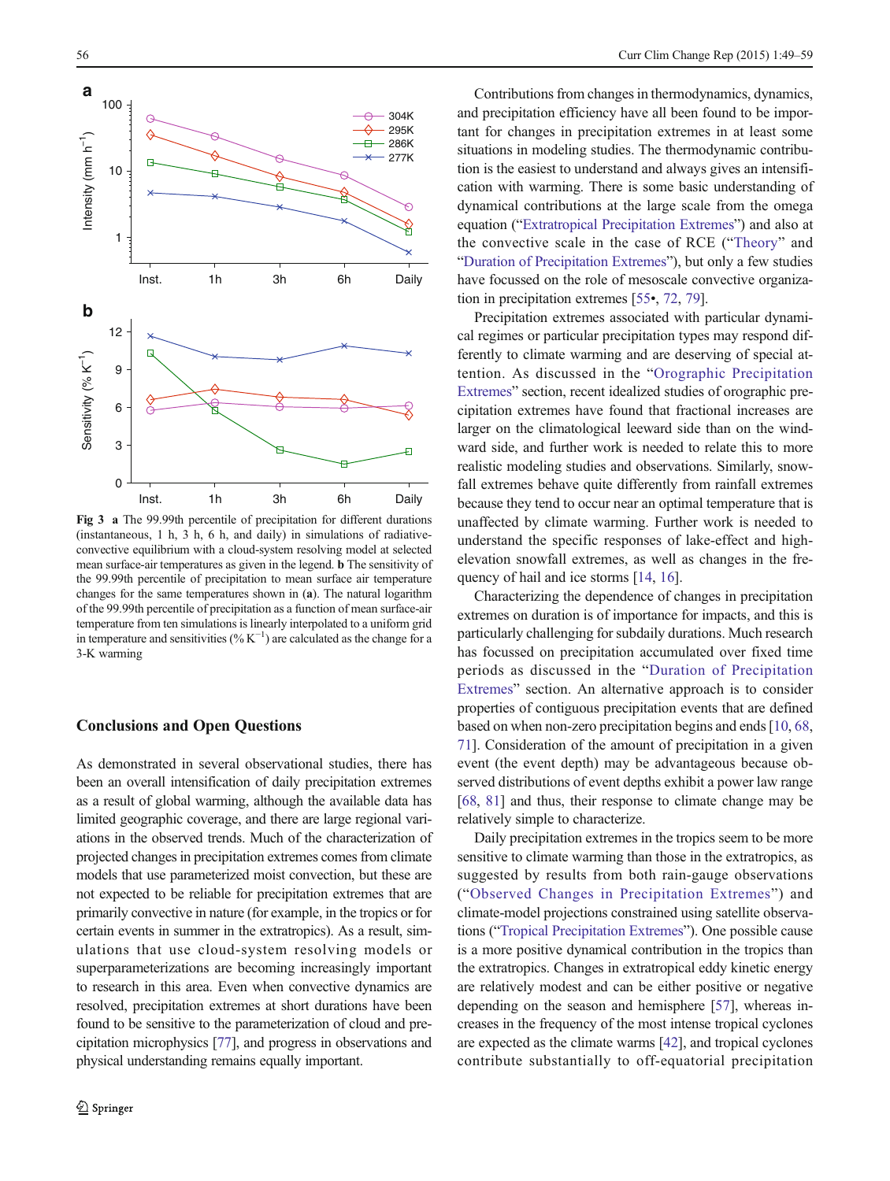<span id="page-7-0"></span>

Fig 3 a The 99.99th percentile of precipitation for different durations (instantaneous, 1 h, 3 h, 6 h, and daily) in simulations of radiativeconvective equilibrium with a cloud-system resolving model at selected mean surface-air temperatures as given in the legend. b The sensitivity of the 99.99th percentile of precipitation to mean surface air temperature changes for the same temperatures shown in (a). The natural logarithm of the 99.99th percentile of precipitation as a function of mean surface-air temperature from ten simulations is linearly interpolated to a uniform grid in temperature and sensitivities (% $K^{-1}$ ) are calculated as the change for a 3-K warming

## Conclusions and Open Questions

As demonstrated in several observational studies, there has been an overall intensification of daily precipitation extremes as a result of global warming, although the available data has limited geographic coverage, and there are large regional variations in the observed trends. Much of the characterization of projected changes in precipitation extremes comes from climate models that use parameterized moist convection, but these are not expected to be reliable for precipitation extremes that are primarily convective in nature (for example, in the tropics or for certain events in summer in the extratropics). As a result, simulations that use cloud-system resolving models or superparameterizations are becoming increasingly important to research in this area. Even when convective dynamics are resolved, precipitation extremes at short durations have been found to be sensitive to the parameterization of cloud and precipitation microphysics [\[77\]](#page-10-0), and progress in observations and physical understanding remains equally important.

Contributions from changes in thermodynamics, dynamics, and precipitation efficiency have all been found to be important for changes in precipitation extremes in at least some situations in modeling studies. The thermodynamic contribution is the easiest to understand and always gives an intensification with warming. There is some basic understanding of dynamical contributions at the large scale from the omega equation ("[Extratropical Precipitation Extremes](#page-3-0)") and also at the convective scale in the case of RCE ("[Theory](#page-2-0)" and "[Duration of Precipitation Extremes](#page-6-0)"), but only a few studies have focussed on the role of mesoscale convective organization in precipitation extremes [[55](#page-9-0)•, [72,](#page-10-0) [79\]](#page-10-0).

Precipitation extremes associated with particular dynamical regimes or particular precipitation types may respond differently to climate warming and are deserving of special attention. As discussed in the "[Orographic Precipitation](#page-5-0) [Extremes](#page-5-0)" section, recent idealized studies of orographic precipitation extremes have found that fractional increases are larger on the climatological leeward side than on the windward side, and further work is needed to relate this to more realistic modeling studies and observations. Similarly, snowfall extremes behave quite differently from rainfall extremes because they tend to occur near an optimal temperature that is unaffected by climate warming. Further work is needed to understand the specific responses of lake-effect and highelevation snowfall extremes, as well as changes in the frequency of hail and ice storms [[14,](#page-8-0) [16](#page-8-0)].

Characterizing the dependence of changes in precipitation extremes on duration is of importance for impacts, and this is particularly challenging for subdaily durations. Much research has focussed on precipitation accumulated over fixed time periods as discussed in the "[Duration of Precipitation](#page-6-0) [Extremes](#page-6-0)" section. An alternative approach is to consider properties of contiguous precipitation events that are defined based on when non-zero precipitation begins and ends [[10,](#page-8-0) [68,](#page-10-0) [71\]](#page-10-0). Consideration of the amount of precipitation in a given event (the event depth) may be advantageous because observed distributions of event depths exhibit a power law range [\[68](#page-10-0), [81\]](#page-10-0) and thus, their response to climate change may be relatively simple to characterize.

Daily precipitation extremes in the tropics seem to be more sensitive to climate warming than those in the extratropics, as suggested by results from both rain-gauge observations ("[Observed Changes in Precipitation Extremes](#page-1-0)") and climate-model projections constrained using satellite observations ("[Tropical Precipitation Extremes](#page-4-0)"). One possible cause is a more positive dynamical contribution in the tropics than the extratropics. Changes in extratropical eddy kinetic energy are relatively modest and can be either positive or negative depending on the season and hemisphere [[57\]](#page-9-0), whereas increases in the frequency of the most intense tropical cyclones are expected as the climate warms [\[42\]](#page-9-0), and tropical cyclones contribute substantially to off-equatorial precipitation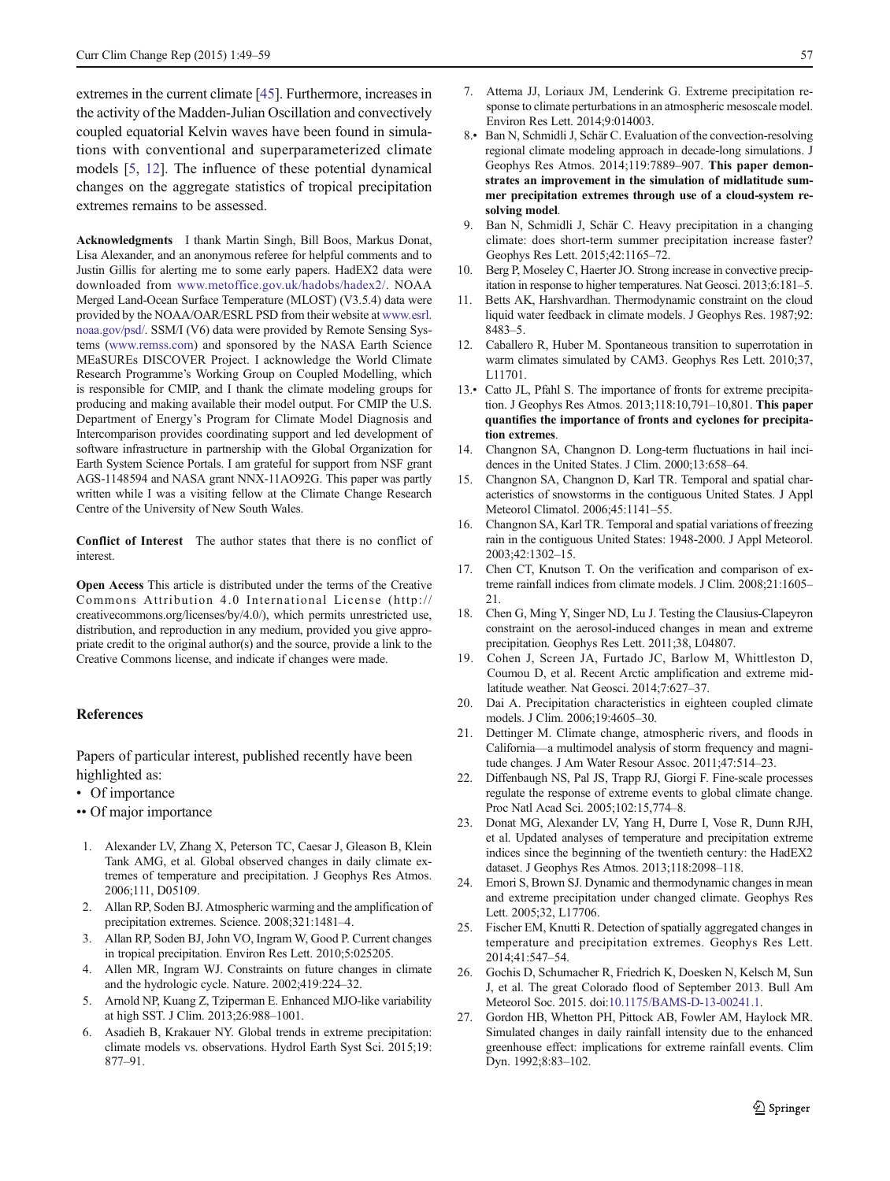<span id="page-8-0"></span>extremes in the current climate [\[45\]](#page-9-0). Furthermore, increases in the activity of the Madden-Julian Oscillation and convectively coupled equatorial Kelvin waves have been found in simulations with conventional and superparameterized climate models [5, 12]. The influence of these potential dynamical changes on the aggregate statistics of tropical precipitation extremes remains to be assessed.

Acknowledgments I thank Martin Singh, Bill Boos, Markus Donat, Lisa Alexander, and an anonymous referee for helpful comments and to Justin Gillis for alerting me to some early papers. HadEX2 data were downloaded from [www.metoffice.gov.uk/hadobs/hadex2/](http://www.metoffice.gov.uk/hadobs/hadex2/). NOAA Merged Land-Ocean Surface Temperature (MLOST) (V3.5.4) data were provided by the NOAA/OAR/ESRL PSD from their website at [www.esrl.](http://www.esrl.noaa.gov/psd/) [noaa.gov/psd/.](http://www.esrl.noaa.gov/psd/) SSM/I (V6) data were provided by Remote Sensing Systems [\(www.remss.com\)](http://www.remss.com/) and sponsored by the NASA Earth Science MEaSUREs DISCOVER Project. I acknowledge the World Climate Research Programme's Working Group on Coupled Modelling, which is responsible for CMIP, and I thank the climate modeling groups for producing and making available their model output. For CMIP the U.S. Department of Energy's Program for Climate Model Diagnosis and Intercomparison provides coordinating support and led development of software infrastructure in partnership with the Global Organization for Earth System Science Portals. I am grateful for support from NSF grant AGS-1148594 and NASA grant NNX-11AO92G. This paper was partly written while I was a visiting fellow at the Climate Change Research Centre of the University of New South Wales.

Conflict of Interest The author states that there is no conflict of interest.

Open Access This article is distributed under the terms of the Creative Commons Attribution 4.0 International License (http:// creativecommons.org/licenses/by/4.0/), which permits unrestricted use, distribution, and reproduction in any medium, provided you give appropriate credit to the original author(s) and the source, provide a link to the Creative Commons license, and indicate if changes were made.

#### References

Papers of particular interest, published recently have been highlighted as:

- Of importance
- •• Of major importance
- 1. Alexander LV, Zhang X, Peterson TC, Caesar J, Gleason B, Klein Tank AMG, et al. Global observed changes in daily climate extremes of temperature and precipitation. J Geophys Res Atmos. 2006;111, D05109.
- 2. Allan RP, Soden BJ. Atmospheric warming and the amplification of precipitation extremes. Science. 2008;321:1481–4.
- 3. Allan RP, Soden BJ, John VO, Ingram W, Good P. Current changes in tropical precipitation. Environ Res Lett. 2010;5:025205.
- 4. Allen MR, Ingram WJ. Constraints on future changes in climate and the hydrologic cycle. Nature. 2002;419:224–32.
- 5. Arnold NP, Kuang Z, Tziperman E. Enhanced MJO-like variability at high SST. J Clim. 2013;26:988–1001.
- 6. Asadieh B, Krakauer NY. Global trends in extreme precipitation: climate models vs. observations. Hydrol Earth Syst Sci. 2015;19: 877–91.
- 7. Attema JJ, Loriaux JM, Lenderink G. Extreme precipitation response to climate perturbations in an atmospheric mesoscale model. Environ Res Lett. 2014;9:014003.
- 8.• Ban N, Schmidli J, Schär C. Evaluation of the convection-resolving regional climate modeling approach in decade-long simulations. J Geophys Res Atmos. 2014;119:7889–907. This paper demonstrates an improvement in the simulation of midlatitude summer precipitation extremes through use of a cloud-system resolving model.
- 9. Ban N, Schmidli J, Schär C. Heavy precipitation in a changing climate: does short-term summer precipitation increase faster? Geophys Res Lett. 2015;42:1165–72.
- 10. Berg P, Moseley C, Haerter JO. Strong increase in convective precipitation in response to higher temperatures. Nat Geosci. 2013;6:181–5.
- 11. Betts AK, Harshvardhan. Thermodynamic constraint on the cloud liquid water feedback in climate models. J Geophys Res. 1987;92: 8483–5.
- 12. Caballero R, Huber M. Spontaneous transition to superrotation in warm climates simulated by CAM3. Geophys Res Lett. 2010;37, L11701.
- 13.• Catto JL, Pfahl S. The importance of fronts for extreme precipitation. J Geophys Res Atmos. 2013;118:10,791–10,801. This paper quantifies the importance of fronts and cyclones for precipitation extremes.
- 14. Changnon SA, Changnon D. Long-term fluctuations in hail incidences in the United States. J Clim. 2000;13:658–64.
- 15. Changnon SA, Changnon D, Karl TR. Temporal and spatial characteristics of snowstorms in the contiguous United States. J Appl Meteorol Climatol. 2006;45:1141–55.
- 16. Changnon SA, Karl TR. Temporal and spatial variations of freezing rain in the contiguous United States: 1948-2000. J Appl Meteorol. 2003;42:1302–15.
- 17. Chen CT, Knutson T. On the verification and comparison of extreme rainfall indices from climate models. J Clim. 2008;21:1605– 21.
- 18. Chen G, Ming Y, Singer ND, Lu J. Testing the Clausius-Clapeyron constraint on the aerosol-induced changes in mean and extreme precipitation. Geophys Res Lett. 2011;38, L04807.
- 19. Cohen J, Screen JA, Furtado JC, Barlow M, Whittleston D, Coumou D, et al. Recent Arctic amplification and extreme midlatitude weather. Nat Geosci. 2014;7:627–37.
- 20. Dai A. Precipitation characteristics in eighteen coupled climate models. J Clim. 2006;19:4605–30.
- 21. Dettinger M. Climate change, atmospheric rivers, and floods in California—a multimodel analysis of storm frequency and magnitude changes. J Am Water Resour Assoc. 2011;47:514–23.
- 22. Diffenbaugh NS, Pal JS, Trapp RJ, Giorgi F. Fine-scale processes regulate the response of extreme events to global climate change. Proc Natl Acad Sci. 2005;102:15,774–8.
- 23. Donat MG, Alexander LV, Yang H, Durre I, Vose R, Dunn RJH, et al. Updated analyses of temperature and precipitation extreme indices since the beginning of the twentieth century: the HadEX2 dataset. J Geophys Res Atmos. 2013;118:2098–118.
- 24. Emori S, Brown SJ. Dynamic and thermodynamic changes in mean and extreme precipitation under changed climate. Geophys Res Lett. 2005;32, L17706.
- 25. Fischer EM, Knutti R. Detection of spatially aggregated changes in temperature and precipitation extremes. Geophys Res Lett. 2014;41:547–54.
- 26. Gochis D, Schumacher R, Friedrich K, Doesken N, Kelsch M, Sun J, et al. The great Colorado flood of September 2013. Bull Am Meteorol Soc. 2015. doi:[10.1175/BAMS-D-13-00241.1.](http://dx.doi.org/10.1175/BAMS-D-13-00241.1)
- 27. Gordon HB, Whetton PH, Pittock AB, Fowler AM, Haylock MR. Simulated changes in daily rainfall intensity due to the enhanced greenhouse effect: implications for extreme rainfall events. Clim Dyn. 1992;8:83–102.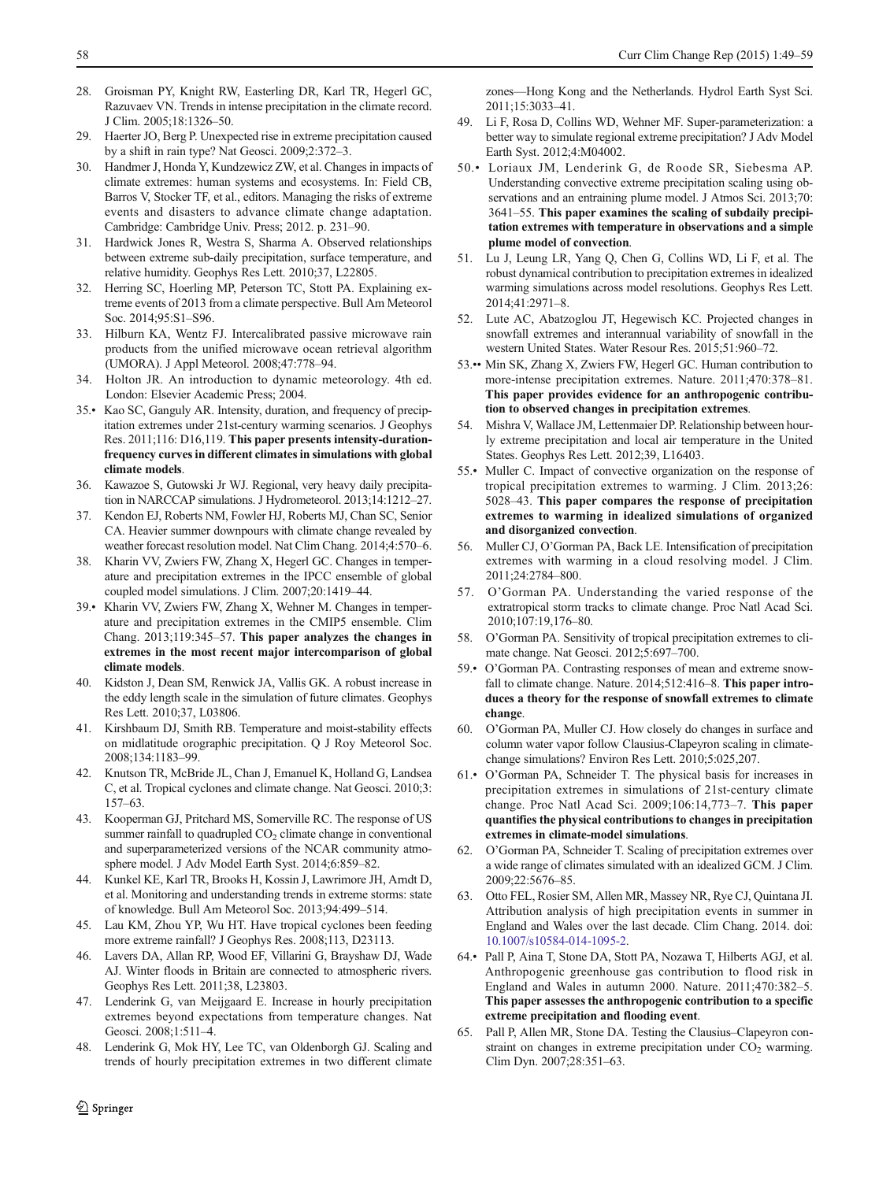- <span id="page-9-0"></span>28. Groisman PY, Knight RW, Easterling DR, Karl TR, Hegerl GC, Razuvaev VN. Trends in intense precipitation in the climate record. J Clim. 2005;18:1326–50.
- 29. Haerter JO, Berg P. Unexpected rise in extreme precipitation caused by a shift in rain type? Nat Geosci. 2009;2:372–3.
- 30. Handmer J, Honda Y, Kundzewicz ZW, et al. Changes in impacts of climate extremes: human systems and ecosystems. In: Field CB, Barros V, Stocker TF, et al., editors. Managing the risks of extreme events and disasters to advance climate change adaptation. Cambridge: Cambridge Univ. Press; 2012. p. 231–90.
- 31. Hardwick Jones R, Westra S, Sharma A. Observed relationships between extreme sub-daily precipitation, surface temperature, and relative humidity. Geophys Res Lett. 2010;37, L22805.
- 32. Herring SC, Hoerling MP, Peterson TC, Stott PA. Explaining extreme events of 2013 from a climate perspective. Bull Am Meteorol Soc. 2014;95:S1–S96.
- 33. Hilburn KA, Wentz FJ. Intercalibrated passive microwave rain products from the unified microwave ocean retrieval algorithm (UMORA). J Appl Meteorol. 2008;47:778–94.
- 34. Holton JR. An introduction to dynamic meteorology. 4th ed. London: Elsevier Academic Press; 2004.
- 35.• Kao SC, Ganguly AR. Intensity, duration, and frequency of precipitation extremes under 21st-century warming scenarios. J Geophys Res. 2011;116: D16,119. This paper presents intensity-durationfrequency curves in different climates in simulations with global climate models.
- 36. Kawazoe S, Gutowski Jr WJ. Regional, very heavy daily precipitation in NARCCAP simulations. J Hydrometeorol. 2013;14:1212–27.
- 37. Kendon EJ, Roberts NM, Fowler HJ, Roberts MJ, Chan SC, Senior CA. Heavier summer downpours with climate change revealed by weather forecast resolution model. Nat Clim Chang. 2014;4:570–6.
- 38. Kharin VV, Zwiers FW, Zhang X, Hegerl GC. Changes in temperature and precipitation extremes in the IPCC ensemble of global coupled model simulations. J Clim. 2007;20:1419–44.
- 39.• Kharin VV, Zwiers FW, Zhang X, Wehner M. Changes in temperature and precipitation extremes in the CMIP5 ensemble. Clim Chang. 2013;119:345–57. This paper analyzes the changes in extremes in the most recent major intercomparison of global climate models.
- 40. Kidston J, Dean SM, Renwick JA, Vallis GK. A robust increase in the eddy length scale in the simulation of future climates. Geophys Res Lett. 2010;37, L03806.
- 41. Kirshbaum DJ, Smith RB. Temperature and moist-stability effects on midlatitude orographic precipitation. Q J Roy Meteorol Soc. 2008;134:1183–99.
- 42. Knutson TR, McBride JL, Chan J, Emanuel K, Holland G, Landsea C, et al. Tropical cyclones and climate change. Nat Geosci. 2010;3: 157–63.
- 43. Kooperman GJ, Pritchard MS, Somerville RC. The response of US summer rainfall to quadrupled  $CO<sub>2</sub>$  climate change in conventional and superparameterized versions of the NCAR community atmosphere model. J Adv Model Earth Syst. 2014;6:859–82.
- 44. Kunkel KE, Karl TR, Brooks H, Kossin J, Lawrimore JH, Arndt D, et al. Monitoring and understanding trends in extreme storms: state of knowledge. Bull Am Meteorol Soc. 2013;94:499–514.
- 45. Lau KM, Zhou YP, Wu HT. Have tropical cyclones been feeding more extreme rainfall? J Geophys Res. 2008;113, D23113.
- 46. Lavers DA, Allan RP, Wood EF, Villarini G, Brayshaw DJ, Wade AJ. Winter floods in Britain are connected to atmospheric rivers. Geophys Res Lett. 2011;38, L23803.
- 47. Lenderink G, van Meijgaard E. Increase in hourly precipitation extremes beyond expectations from temperature changes. Nat Geosci. 2008;1:511–4.
- 48. Lenderink G, Mok HY, Lee TC, van Oldenborgh GJ. Scaling and trends of hourly precipitation extremes in two different climate

zones—Hong Kong and the Netherlands. Hydrol Earth Syst Sci. 2011;15:3033–41.

- Li F, Rosa D, Collins WD, Wehner MF. Super-parameterization: a better way to simulate regional extreme precipitation? J Adv Model Earth Syst. 2012;4:M04002.
- 50.• Loriaux JM, Lenderink G, de Roode SR, Siebesma AP. Understanding convective extreme precipitation scaling using observations and an entraining plume model. J Atmos Sci. 2013;70: 3641–55. This paper examines the scaling of subdaily precipitation extremes with temperature in observations and a simple plume model of convection.
- 51. Lu J, Leung LR, Yang Q, Chen G, Collins WD, Li F, et al. The robust dynamical contribution to precipitation extremes in idealized warming simulations across model resolutions. Geophys Res Lett. 2014;41:2971–8.
- 52. Lute AC, Abatzoglou JT, Hegewisch KC. Projected changes in snowfall extremes and interannual variability of snowfall in the western United States. Water Resour Res. 2015;51:960–72.
- 53.•• Min SK, Zhang X, Zwiers FW, Hegerl GC. Human contribution to more-intense precipitation extremes. Nature. 2011;470:378–81. This paper provides evidence for an anthropogenic contribution to observed changes in precipitation extremes.
- 54. Mishra V, Wallace JM, Lettenmaier DP. Relationship between hourly extreme precipitation and local air temperature in the United States. Geophys Res Lett. 2012;39, L16403.
- 55.• Muller C. Impact of convective organization on the response of tropical precipitation extremes to warming. J Clim. 2013;26: 5028–43. This paper compares the response of precipitation extremes to warming in idealized simulations of organized and disorganized convection.
- 56. Muller CJ, O'Gorman PA, Back LE. Intensification of precipitation extremes with warming in a cloud resolving model. J Clim. 2011;24:2784–800.
- 57. O'Gorman PA. Understanding the varied response of the extratropical storm tracks to climate change. Proc Natl Acad Sci. 2010;107:19,176–80.
- 58. O'Gorman PA. Sensitivity of tropical precipitation extremes to climate change. Nat Geosci. 2012;5:697–700.
- 59.• O'Gorman PA. Contrasting responses of mean and extreme snowfall to climate change. Nature. 2014;512:416-8. This paper introduces a theory for the response of snowfall extremes to climate change.
- 60. O'Gorman PA, Muller CJ. How closely do changes in surface and column water vapor follow Clausius-Clapeyron scaling in climatechange simulations? Environ Res Lett. 2010;5:025,207.
- 61.• O'Gorman PA, Schneider T. The physical basis for increases in precipitation extremes in simulations of 21st-century climate change. Proc Natl Acad Sci. 2009;106:14,773–7. This paper quantifies the physical contributions to changes in precipitation extremes in climate-model simulations.
- 62. O'Gorman PA, Schneider T. Scaling of precipitation extremes over a wide range of climates simulated with an idealized GCM. J Clim. 2009;22:5676–85.
- 63. Otto FEL, Rosier SM, Allen MR, Massey NR, Rye CJ, Quintana JI. Attribution analysis of high precipitation events in summer in England and Wales over the last decade. Clim Chang. 2014. doi: [10.1007/s10584-014-1095-2](http://dx.doi.org/10.1007/s10584-014-1095-2).
- 64.• Pall P, Aina T, Stone DA, Stott PA, Nozawa T, Hilberts AGJ, et al. Anthropogenic greenhouse gas contribution to flood risk in England and Wales in autumn 2000. Nature. 2011;470:382–5. This paper assesses the anthropogenic contribution to a specific extreme precipitation and flooding event.
- 65. Pall P, Allen MR, Stone DA. Testing the Clausius–Clapeyron constraint on changes in extreme precipitation under  $CO<sub>2</sub>$  warming. Clim Dyn. 2007;28:351–63.